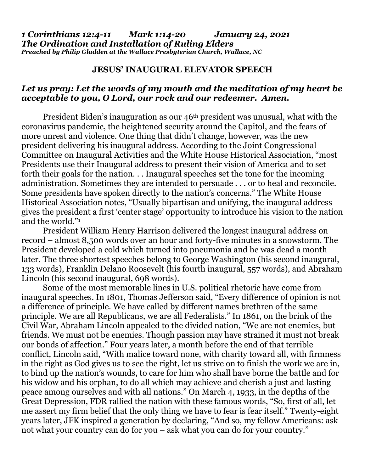## **JESUS' INAUGURAL ELEVATOR SPEECH**

## *Let us pray: Let the words of my mouth and the meditation of my heart be acceptable to you, O Lord, our rock and our redeemer. Amen.*

President Biden's inauguration as our 46th president was unusual, what with the coronavirus pandemic, the heightened security around the Capitol, and the fears of more unrest and violence. One thing that didn't change, however, was the new president delivering his inaugural address. According to the Joint Congressional Committee on Inaugural Activities and the White House Historical Association, "most Presidents use their Inaugural address to present their vision of America and to set forth their goals for the nation. . . Inaugural speeches set the tone for the incoming administration. Sometimes they are intended to persuade . . . or to heal and reconcile. Some presidents have spoken directly to the nation's concerns." The White House Historical Association notes, "Usually bipartisan and unifying, the inaugural address gives the president a first 'center stage' opportunity to introduce his vision to the nation and the world."<sup>1</sup>

President William Henry Harrison delivered the longest inaugural address on record – almost 8,500 words over an hour and forty-five minutes in a snowstorm. The President developed a cold which turned into pneumonia and he was dead a month later. The three shortest speeches belong to George Washington (his second inaugural, 133 words), Franklin Delano Roosevelt (his fourth inaugural, 557 words), and Abraham Lincoln (his second inaugural, 698 words).

Some of the most memorable lines in U.S. political rhetoric have come from inaugural speeches. In 1801, Thomas Jefferson said, "Every difference of opinion is not a difference of principle. We have called by different names brethren of the same principle. We are all Republicans, we are all Federalists." In 1861, on the brink of the Civil War, Abraham Lincoln appealed to the divided nation, "We are not enemies, but friends. We must not be enemies. Though passion may have strained it must not break our bonds of affection." Four years later, a month before the end of that terrible conflict, Lincoln said, "With malice toward none, with charity toward all, with firmness in the right as God gives us to see the right, let us strive on to finish the work we are in, to bind up the nation's wounds, to care for him who shall have borne the battle and for his widow and his orphan, to do all which may achieve and cherish a just and lasting peace among ourselves and with all nations." On March 4, 1933, in the depths of the Great Depression, FDR rallied the nation with these famous words, "So, first of all, let me assert my firm belief that the only thing we have to fear is fear itself." Twenty-eight years later, JFK inspired a generation by declaring, "And so, my fellow Americans: ask not what your country can do for you – ask what you can do for your country."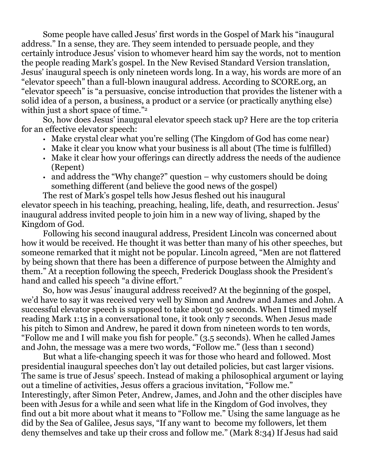Some people have called Jesus' first words in the Gospel of Mark his "inaugural address." In a sense, they are. They seem intended to persuade people, and they certainly introduce Jesus' vision to whomever heard him say the words, not to mention the people reading Mark's gospel. In the New Revised Standard Version translation, Jesus' inaugural speech is only nineteen words long. In a way, his words are more of an "elevator speech" than a full-blown inaugural address. According to SCORE.org, an "elevator speech" is "a persuasive, concise introduction that provides the listener with a solid idea of a person, a business, a product or a service (or practically anything else) within just a short space of time."<sup>2</sup>

So, how does Jesus' inaugural elevator speech stack up? Here are the top criteria for an effective elevator speech:

- Make crystal clear what you're selling (The Kingdom of God has come near)
- Make it clear you know what your business is all about (The time is fulfilled)
- Make it clear how your offerings can directly address the needs of the audience (Repent)
- and address the "Why change?" question why customers should be doing something different (and believe the good news of the gospel)

The rest of Mark's gospel tells how Jesus fleshed out his inaugural elevator speech in his teaching, preaching, healing, life, death, and resurrection. Jesus' inaugural address invited people to join him in a new way of living, shaped by the Kingdom of God.

Following his second inaugural address, President Lincoln was concerned about how it would be received. He thought it was better than many of his other speeches, but someone remarked that it might not be popular. Lincoln agreed, "Men are not flattered by being shown that there has been a difference of purpose between the Almighty and them." At a reception following the speech, Frederick Douglass shook the President's hand and called his speech "a divine effort."

So, how was Jesus' inaugural address received? At the beginning of the gospel, we'd have to say it was received very well by Simon and Andrew and James and John. A successful elevator speech is supposed to take about 30 seconds. When I timed myself reading Mark 1:15 in a conversational tone, it took only 7 seconds. When Jesus made his pitch to Simon and Andrew, he pared it down from nineteen words to ten words, "Follow me and I will make you fish for people." (3.5 seconds). When he called James and John, the message was a mere two words, "Follow me." (less than 1 second)

But what a life-changing speech it was for those who heard and followed. Most presidential inaugural speeches don't lay out detailed policies, but cast larger visions. The same is true of Jesus' speech. Instead of making a philosophical argument or laying out a timeline of activities, Jesus offers a gracious invitation, "Follow me." Interestingly, after Simon Peter, Andrew, James, and John and the other disciples have been with Jesus for a while and seen what life in the Kingdom of God involves, they find out a bit more about what it means to "Follow me." Using the same language as he did by the Sea of Galilee, Jesus says, "If any want to become my followers, let them deny themselves and take up their cross and follow me." (Mark 8:34) If Jesus had said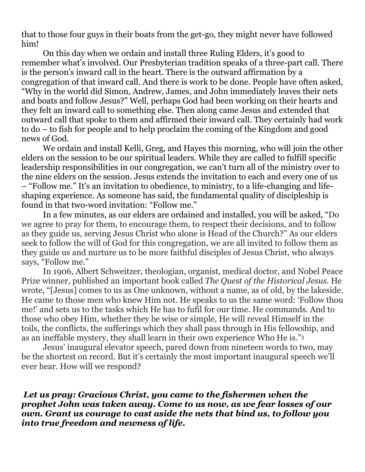that to those four guys in their boats from the get-go, they might never have followed him!

On this day when we ordain and install three Ruling Elders, it's good to remember what's involved. Our Presbyterian tradition speaks of a three-part call. There is the person's inward call in the heart. There is the outward affirmation by a congregation of that inward call. And there is work to be done. People have often asked, "Why in the world did Simon, Andrew, James, and John immediately leaves their nets and boats and follow Jesus?" Well, perhaps God had been working on their hearts and they felt an inward call to something else. Then along came Jesus and extended that outward call that spoke to them and affirmed their inward call. They certainly had work to do – to fish for people and to help proclaim the coming of the Kingdom and good news of God.

We ordain and install Kelli, Greg, and Hayes this morning, who will join the other elders on the session to be our spiritual leaders. While they are called to fulfill specific leadership responsibilities in our congregation, we can't turn all of the ministry over to the nine elders on the session. Jesus extends the invitation to each and every one of us – "Follow me." It's an invitation to obedience, to ministry, to a life-changing and lifeshaping experience. As someone has said, the fundamental quality of discipleship is found in that two-word invitation: "Follow me."

In a few minutes, as our elders are ordained and installed, you will be asked, "Do we agree to pray for them, to encourage them, to respect their decisions, and to follow as they guide us, serving Jesus Christ who alone is Head of the Church?" As our elders seek to follow the will of God for this congregation, we are all invited to follow them as they guide us and nurture us to be more faithful disciples of Jesus Christ, who always says, "Follow me."

In 1906, Albert Schweitzer, theologian, organist, medical doctor, and Nobel Peace Prize winner, published an important book called *The Quest of the Historical Jesus.* He wrote, "[Jesus] comes to us as One unknown, without a name, as of old, by the lakeside. He came to those men who knew Him not. He speaks to us the same word: 'Follow thou me!' and sets us to the tasks which He has to fufil for our time. He commands. And to those who obey Him, whether they be wise or simple, He will reveal Himself in the toils, the conflicts, the sufferings which they shall pass through in His fellowship, and as an ineffable mystery, they shall learn in their own experience Who He is."<sup>3</sup>

Jesus' inaugural elevator speech, pared down from nineteen words to two, may be the shortest on record. But it's certainly the most important inaugural speech we'll ever hear. How will we respond?

*Let us pray: Gracious Christ, you came to the fishermen when the prophet John was taken away. Come to us now, as we fear losses of our own. Grant us courage to cast aside the nets that bind us, to follow you into true freedom and newness of life.*